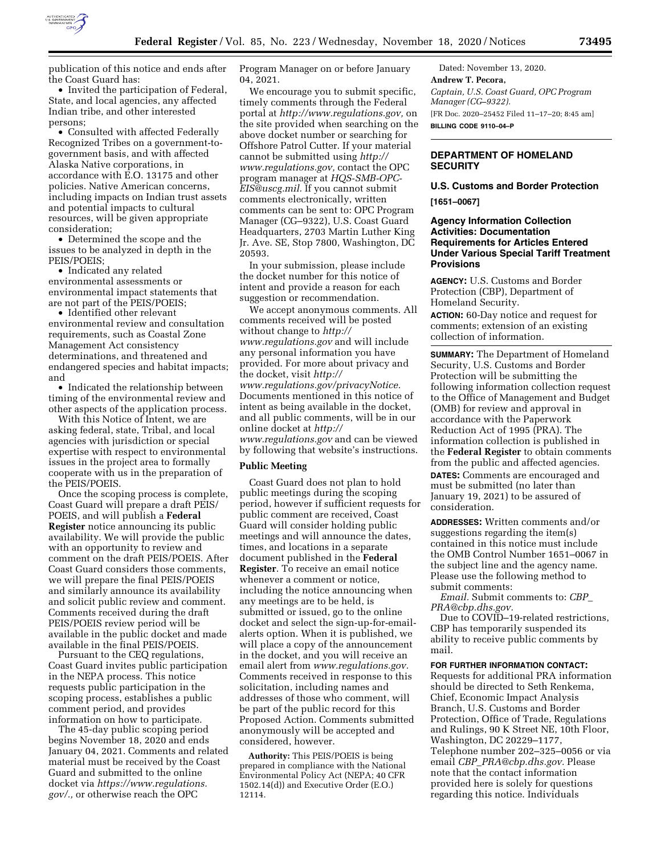

publication of this notice and ends after the Coast Guard has:

• Invited the participation of Federal, State, and local agencies, any affected Indian tribe, and other interested persons;

• Consulted with affected Federally Recognized Tribes on a government-togovernment basis, and with affected Alaska Native corporations, in accordance with E.O. 13175 and other policies. Native American concerns, including impacts on Indian trust assets and potential impacts to cultural resources, will be given appropriate consideration;

• Determined the scope and the issues to be analyzed in depth in the PEIS/POEIS;

• Indicated any related environmental assessments or environmental impact statements that are not part of the PEIS/POEIS;

• Identified other relevant environmental review and consultation requirements, such as Coastal Zone Management Act consistency determinations, and threatened and endangered species and habitat impacts; and

• Indicated the relationship between timing of the environmental review and other aspects of the application process.

With this Notice of Intent, we are asking federal, state, Tribal, and local agencies with jurisdiction or special expertise with respect to environmental issues in the project area to formally cooperate with us in the preparation of the PEIS/POEIS.

Once the scoping process is complete, Coast Guard will prepare a draft PEIS/ POEIS, and will publish a **Federal Register** notice announcing its public availability. We will provide the public with an opportunity to review and comment on the draft PEIS/POEIS. After Coast Guard considers those comments, we will prepare the final PEIS/POEIS and similarly announce its availability and solicit public review and comment. Comments received during the draft PEIS/POEIS review period will be available in the public docket and made available in the final PEIS/POEIS.

Pursuant to the CEQ regulations, Coast Guard invites public participation in the NEPA process. This notice requests public participation in the scoping process, establishes a public comment period, and provides information on how to participate.

The 45-day public scoping period begins November 18, 2020 and ends January 04, 2021. Comments and related material must be received by the Coast Guard and submitted to the online docket via *[https://www.regulations.](https://www.regulations.gov/) [gov/.,](https://www.regulations.gov/)* or otherwise reach the OPC

Program Manager on or before January 04, 2021.

We encourage you to submit specific, timely comments through the Federal portal at *[http://www.regulations.gov,](http://www.regulations.gov)* on the site provided when searching on the above docket number or searching for Offshore Patrol Cutter. If your material cannot be submitted using *[http://](http://www.regulations.gov) [www.regulations.gov,](http://www.regulations.gov)* contact the OPC program manager at *[HQS-SMB-OPC-](mailto:HQS-SMB-OPC-EIS@uscg.mil)[EIS@uscg.mil.](mailto:HQS-SMB-OPC-EIS@uscg.mil)* If you cannot submit comments electronically, written comments can be sent to: OPC Program Manager (CG–9322), U.S. Coast Guard Headquarters, 2703 Martin Luther King Jr. Ave. SE, Stop 7800, Washington, DC 20593.

In your submission, please include the docket number for this notice of intent and provide a reason for each suggestion or recommendation.

We accept anonymous comments. All comments received will be posted without change to *[http://](http://www.regulations.gov) [www.regulations.gov](http://www.regulations.gov)* and will include any personal information you have provided. For more about privacy and the docket, visit *[http://](http://www.regulations.gov/privacyNotice) [www.regulations.gov/privacyNotice.](http://www.regulations.gov/privacyNotice)*  Documents mentioned in this notice of intent as being available in the docket, and all public comments, will be in our online docket at *[http://](http://www.regulations.gov) [www.regulations.gov](http://www.regulations.gov)* and can be viewed by following that website's instructions.

#### **Public Meeting**

Coast Guard does not plan to hold public meetings during the scoping period, however if sufficient requests for public comment are received, Coast Guard will consider holding public meetings and will announce the dates, times, and locations in a separate document published in the **Federal Register**. To receive an email notice whenever a comment or notice, including the notice announcing when any meetings are to be held, is submitted or issued, go to the online docket and select the sign-up-for-emailalerts option. When it is published, we will place a copy of the announcement in the docket, and you will receive an email alert from *[www.regulations.gov.](http://www.regulations.gov)*  Comments received in response to this solicitation, including names and addresses of those who comment, will be part of the public record for this Proposed Action. Comments submitted anonymously will be accepted and considered, however.

**Authority:** This PEIS/POEIS is being prepared in compliance with the National Environmental Policy Act (NEPA; 40 CFR 1502.14(d)) and Executive Order (E.O.) 12114.

Dated: November 13, 2020. **Andrew T. Pecora,**  *Captain, U.S. Coast Guard, OPC Program Manager (CG–9322).*  [FR Doc. 2020–25452 Filed 11–17–20; 8:45 am] **BILLING CODE 9110–04–P** 

## **DEPARTMENT OF HOMELAND SECURITY**

# **U.S. Customs and Border Protection [1651–0067]**

## **Agency Information Collection Activities: Documentation Requirements for Articles Entered Under Various Special Tariff Treatment Provisions**

**AGENCY:** U.S. Customs and Border Protection (CBP), Department of Homeland Security.

**ACTION:** 60-Day notice and request for comments; extension of an existing collection of information.

**SUMMARY:** The Department of Homeland Security, U.S. Customs and Border Protection will be submitting the following information collection request to the Office of Management and Budget (OMB) for review and approval in accordance with the Paperwork Reduction Act of 1995 (PRA). The information collection is published in the **Federal Register** to obtain comments from the public and affected agencies.

**DATES:** Comments are encouraged and must be submitted (no later than January 19, 2021) to be assured of consideration.

**ADDRESSES:** Written comments and/or suggestions regarding the item(s) contained in this notice must include the OMB Control Number 1651–0067 in the subject line and the agency name. Please use the following method to submit comments:

*Email.* Submit comments to: *[CBP](mailto:CBP_PRA@cbp.dhs.gov)*\_ *[PRA@cbp.dhs.gov.](mailto:CBP_PRA@cbp.dhs.gov)* 

Due to COVID–19-related restrictions, CBP has temporarily suspended its ability to receive public comments by mail.

## **FOR FURTHER INFORMATION CONTACT:**

Requests for additional PRA information should be directed to Seth Renkema, Chief, Economic Impact Analysis Branch, U.S. Customs and Border Protection, Office of Trade, Regulations and Rulings, 90 K Street NE, 10th Floor, Washington, DC 20229–1177, Telephone number 202–325–0056 or via email *CBP*\_*[PRA@cbp.dhs.gov.](mailto:CBP_PRA@cbp.dhs.gov)* Please note that the contact information provided here is solely for questions regarding this notice. Individuals